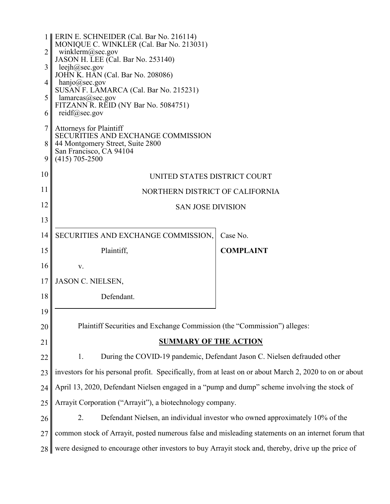|                | 1   ERIN E. SCHNEIDER (Cal. Bar No. 216114)<br>MONIQUE C. WINKLER (Cal. Bar No. 213031)                 |                                                                              |  |
|----------------|---------------------------------------------------------------------------------------------------------|------------------------------------------------------------------------------|--|
| $\overline{2}$ | winklerm@sec.gov<br>JASON H. LEE (Cal. Bar No. 253140)                                                  |                                                                              |  |
| 3              | leejh $@sec.gov$                                                                                        |                                                                              |  |
| $\overline{4}$ | JOHN K. HAN (Cal. Bar No. 208086)<br>hanjo@sec.gov                                                      |                                                                              |  |
| 5              | SUSAN F. LAMARCA (Cal. Bar No. 215231)<br>lamarcas@sec.gov                                              |                                                                              |  |
| 6              | FITZANN R. REID (NY Bar No. 5084751)<br>$reidf(\hat{\alpha})$ sec.gov                                   |                                                                              |  |
| 7              | <b>Attorneys for Plaintiff</b>                                                                          |                                                                              |  |
| 8              | SECURITIES AND EXCHANGE COMMISSION<br>44 Montgomery Street, Suite 2800                                  |                                                                              |  |
|                | San Francisco, CA 94104                                                                                 |                                                                              |  |
| 9              | $(415)$ 705-2500                                                                                        |                                                                              |  |
| 10             | UNITED STATES DISTRICT COURT                                                                            |                                                                              |  |
| 11             | NORTHERN DISTRICT OF CALIFORNIA                                                                         |                                                                              |  |
| 12             | <b>SAN JOSE DIVISION</b>                                                                                |                                                                              |  |
| 13             |                                                                                                         |                                                                              |  |
| 14             | SECURITIES AND EXCHANGE COMMISSION,                                                                     | Case No.                                                                     |  |
|                |                                                                                                         |                                                                              |  |
| 15             | Plaintiff,                                                                                              | <b>COMPLAINT</b>                                                             |  |
| 16             | V.                                                                                                      |                                                                              |  |
| 17             | <b>JASON C. NIELSEN,</b>                                                                                |                                                                              |  |
| 18             | Defendant.                                                                                              |                                                                              |  |
| 19             |                                                                                                         |                                                                              |  |
| 20             | Plaintiff Securities and Exchange Commission (the "Commission") alleges:                                |                                                                              |  |
| 21             | <b>SUMMARY OF THE ACTION</b>                                                                            |                                                                              |  |
| 22             | 1.                                                                                                      | During the COVID-19 pandemic, Defendant Jason C. Nielsen defrauded other     |  |
| 23             | investors for his personal profit. Specifically, from at least on or about March 2, 2020 to on or about |                                                                              |  |
| 24             | April 13, 2020, Defendant Nielsen engaged in a "pump and dump" scheme involving the stock of            |                                                                              |  |
| 25             | Arrayit Corporation ("Arrayit"), a biotechnology company.                                               |                                                                              |  |
| 26             | 2.                                                                                                      | Defendant Nielsen, an individual investor who owned approximately 10% of the |  |
| 27             | common stock of Arrayit, posted numerous false and misleading statements on an internet forum that      |                                                                              |  |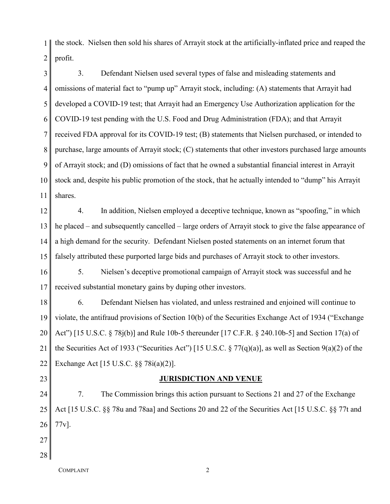1 2 the stock. Nielsen then sold his shares of Arrayit stock at the artificially-inflated price and reaped the profit.

3 4 5 6 7 8 9 10 11 3. Defendant Nielsen used several types of false and misleading statements and omissions of material fact to "pump up" Arrayit stock, including: (A) statements that Arrayit had developed a COVID-19 test; that Arrayit had an Emergency Use Authorization application for the COVID-19 test pending with the U.S. Food and Drug Administration (FDA); and that Arrayit received FDA approval for its COVID-19 test; (B) statements that Nielsen purchased, or intended to purchase, large amounts of Arrayit stock; (C) statements that other investors purchased large amounts of Arrayit stock; and (D) omissions of fact that he owned a substantial financial interest in Arrayit stock and, despite his public promotion of the stock, that he actually intended to "dump" his Arrayit shares.

12 13 14 15 4. In addition, Nielsen employed a deceptive technique, known as "spoofing," in which he placed – and subsequently cancelled – large orders of Arrayit stock to give the false appearance of a high demand for the security. Defendant Nielsen posted statements on an internet forum that falsely attributed these purported large bids and purchases of Arrayit stock to other investors.

16 17 5. Nielsen's deceptive promotional campaign of Arrayit stock was successful and he received substantial monetary gains by duping other investors.

18 19 20 21 22 6. Defendant Nielsen has violated, and unless restrained and enjoined will continue to violate, the antifraud provisions of Section 10(b) of the Securities Exchange Act of 1934 ("Exchange Act") [15 U.S.C. § 78j(b)] and Rule 10b-5 thereunder [17 C.F.R. § 240.10b-5] and Section 17(a) of the Securities Act of 1933 ("Securities Act") [15 U.S.C. § 77(q)(a)], as well as Section 9(a)(2) of the Exchange Act [15 U.S.C. §§ 78i(a)(2)].

## **JURISDICTION AND VENUE**

24 25 26 7. The Commission brings this action pursuant to Sections 21 and 27 of the Exchange Act [15 U.S.C. §§ 78u and 78aa] and Sections 20 and 22 of the Securities Act [15 U.S.C. §§ 77t and 77v].

27 28

23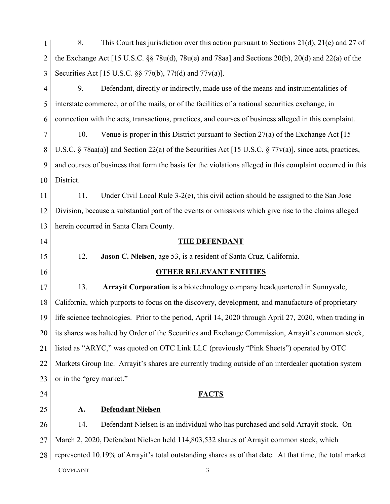| 1              | 8.                       | This Court has jurisdiction over this action pursuant to Sections $21(d)$ , $21(e)$ and 27 of             |
|----------------|--------------------------|-----------------------------------------------------------------------------------------------------------|
| $\overline{2}$ |                          | the Exchange Act [15 U.S.C. $\S$ 78u(d), 78u(e) and 78aa] and Sections 20(b), 20(d) and 22(a) of the      |
| 3              |                          | Securities Act [15 U.S.C. §§ 77t(b), 77t(d) and 77v(a)].                                                  |
| $\overline{4}$ | 9.                       | Defendant, directly or indirectly, made use of the means and instrumentalities of                         |
| 5              |                          | interstate commerce, or of the mails, or of the facilities of a national securities exchange, in          |
| 6              |                          | connection with the acts, transactions, practices, and courses of business alleged in this complaint.     |
| $\overline{7}$ | 10.                      | Venue is proper in this District pursuant to Section $27(a)$ of the Exchange Act [15]                     |
| 8              |                          | U.S.C. § 78aa(a)] and Section 22(a) of the Securities Act [15 U.S.C. § 77v(a)], since acts, practices,    |
| 9              |                          | and courses of business that form the basis for the violations alleged in this complaint occurred in this |
| 10             | District.                |                                                                                                           |
| 11             | 11.                      | Under Civil Local Rule 3-2(e), this civil action should be assigned to the San Jose                       |
| 12             |                          | Division, because a substantial part of the events or omissions which give rise to the claims alleged     |
| 13             |                          | herein occurred in Santa Clara County.                                                                    |
| 14             |                          | <b>THE DEFENDANT</b>                                                                                      |
| 15             | 12.                      | Jason C. Nielsen, age 53, is a resident of Santa Cruz, California.                                        |
|                |                          |                                                                                                           |
| 16             |                          | <b>OTHER RELEVANT ENTITIES</b>                                                                            |
| 17             | 13.                      | Arrayit Corporation is a biotechnology company headquartered in Sunnyvale,                                |
| 18             |                          | California, which purports to focus on the discovery, development, and manufacture of proprietary         |
| 19             |                          | life science technologies. Prior to the period, April 14, 2020 through April 27, 2020, when trading in    |
| 20             |                          | its shares was halted by Order of the Securities and Exchange Commission, Arrayit's common stock,         |
| 21             |                          | listed as "ARYC," was quoted on OTC Link LLC (previously "Pink Sheets") operated by OTC                   |
| 22             |                          | Markets Group Inc. Arrayit's shares are currently trading outside of an interdealer quotation system      |
| 23             | or in the "grey market." |                                                                                                           |
| 24             |                          | <b>FACTS</b>                                                                                              |
| 25             | A.                       | <b>Defendant Nielsen</b>                                                                                  |
| 26             | 14.                      | Defendant Nielsen is an individual who has purchased and sold Arrayit stock. On                           |
| 27             |                          | March 2, 2020, Defendant Nielsen held 114,803,532 shares of Arrayit common stock, which                   |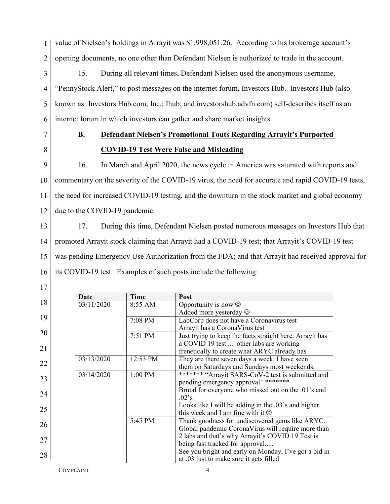1 2 value of Nielsen's holdings in Arrayit was \$1,998,051.26. According to his brokerage account's opening documents, no one other than Defendant Nielsen is authorized to trade in the account.

3 4 5 6 15. During all relevant times, Defendant Nielsen used the anonymous username, "PennyStock Alert," to post messages on the internet forum, Investors Hub. Investors Hub (also known as: Investors Hub.com, Inc.; Ihub; and investorshub.advfn.com) self-describes itself as an internet forum in which investors can gather and share market insights.

- 7
- **B. Defendant Nielsen's Promotional Touts Regarding Arrayit's Purported COVID-19 Test Were False and Misleading**
- 8

17

9 10 11 12 16. In March and April 2020, the news cycle in America was saturated with reports and commentary on the severity of the COVID-19 virus, the need for accurate and rapid COVID-19 tests, the need for increased COVID-19 testing, and the downturn in the stock market and global economy due to the COVID-19 pandemic.

13 14 15 16 17. During this time, Defendant Nielsen posted numerous messages on Investors Hub that promoted Arrayit stock claiming that Arrayit had a COVID-19 test; that Arrayit's COVID-19 test was pending Emergency Use Authorization from the FDA; and that Arrayit had received approval for its COVID-19 test. Examples of such posts include the following:

|    | Date       | <b>Time</b> | Post                                                     |
|----|------------|-------------|----------------------------------------------------------|
| 18 | 03/11/2020 | 8:55 AM     | Opportunity is now $\odot$                               |
|    |            |             | Added more yesterday $\odot$                             |
| 19 |            | 7:08 PM     | LabCorp does not have a Coronavirus test                 |
|    |            |             | Arrayit has a CoronaVirus test                           |
| 20 |            | 7:51 PM     | Just trying to keep the facts straight here. Arrayit has |
| 21 |            |             | a COVID 19 test  other labs are working                  |
|    |            |             | frenetically to create what ARYC already has             |
| 22 | 03/13/2020 | 12:53 PM    | They are there seven days a week. I have seen            |
|    |            |             | them on Saturdays and Sundays most weekends.             |
| 23 | 03/14/2020 | 1:00 PM     | ******* "Arrayit SARS-CoV-2 test is submitted and        |
|    |            |             | pending emergency approval" *******                      |
| 24 |            |             | Brutal for everyone who missed out on the .01's and      |
|    |            |             | $.02$ 's                                                 |
| 25 |            |             | Looks like I will be adding in the .03's and higher      |
|    |            |             | this week and I am fine with it $\odot$                  |
| 26 |            | 5:45 PM     | Thank goodness for undiscovered gems like ARYC.          |
|    |            |             | Global pandemic CoronaVirus will require more than       |
| 27 |            |             | 2 labs and that's why Arrayit's COVID 19 Test is         |
|    |            |             | being fast tracked for approval                          |
| 28 |            |             | See you bright and early on Monday, I've got a bid in    |
|    |            |             | at .03 just to make sure it gets filled                  |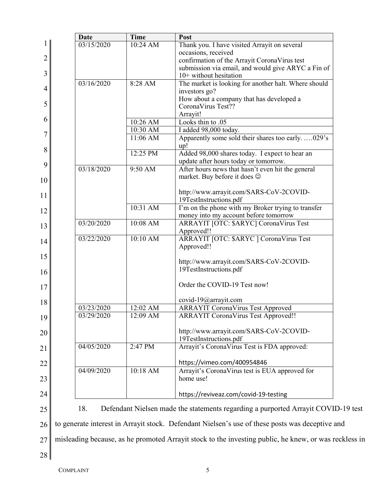|    | <b>Date</b>                                                                                           | <b>Time</b>          | Post                                                                                               |  |
|----|-------------------------------------------------------------------------------------------------------|----------------------|----------------------------------------------------------------------------------------------------|--|
| 1  | 03/15/2020                                                                                            | 10:24 AM             | Thank you. I have visited Arrayit on several                                                       |  |
| 2  |                                                                                                       |                      | occasions, received                                                                                |  |
|    |                                                                                                       |                      | confirmation of the Arrayit CoronaVirus test<br>submission via email, and would give ARYC a Fin of |  |
| 3  |                                                                                                       |                      | $10+$ without hesitation                                                                           |  |
|    | 03/16/2020                                                                                            | 8:28 AM              | The market is looking for another halt. Where should                                               |  |
| 4  |                                                                                                       |                      | investors go?                                                                                      |  |
|    |                                                                                                       |                      | How about a company that has developed a                                                           |  |
| 5  |                                                                                                       |                      | CoronaVirus Test??                                                                                 |  |
| 6  |                                                                                                       |                      | Arrayit!                                                                                           |  |
|    |                                                                                                       | 10:26 AM<br>10:30 AM | Looks thin to .05<br>I added 98,000 today.                                                         |  |
| 7  |                                                                                                       | 11:06 AM             | Apparently some sold their shares too early029's                                                   |  |
|    |                                                                                                       |                      | up!                                                                                                |  |
| 8  |                                                                                                       | 12:25 PM             | Added 98,000 shares today. I expect to hear an                                                     |  |
| 9  |                                                                                                       |                      | update after hours today or tomorrow.                                                              |  |
|    | 03/18/2020                                                                                            | $9:50$ AM            | After hours news that hasn't even hit the general                                                  |  |
| 10 |                                                                                                       |                      | market. Buy before it does $\odot$                                                                 |  |
|    |                                                                                                       |                      | http://www.arrayit.com/SARS-CoV-2COVID-                                                            |  |
| 11 |                                                                                                       |                      | 19TestInstructions.pdf                                                                             |  |
| 12 |                                                                                                       | 10:31 AM             | I'm on the phone with my Broker trying to transfer                                                 |  |
|    |                                                                                                       |                      | money into my account before tomorrow                                                              |  |
| 13 | 03/20/2020                                                                                            | 10:08 AM             | ARRAYIT [OTC: \$ARYC] CoronaVirus Test                                                             |  |
|    | 03/22/2020                                                                                            | 10:10 AM             | Approved!!                                                                                         |  |
| 14 |                                                                                                       |                      | ARRAYIT [OTC: \$ARYC] CoronaVirus Test<br>Approved!!                                               |  |
| 15 |                                                                                                       |                      |                                                                                                    |  |
|    |                                                                                                       |                      | http://www.arrayit.com/SARS-CoV-2COVID-                                                            |  |
| 16 |                                                                                                       |                      | 19TestInstructions.pdf                                                                             |  |
|    |                                                                                                       |                      |                                                                                                    |  |
| 17 |                                                                                                       |                      | Order the COVID-19 Test now!                                                                       |  |
| 18 |                                                                                                       |                      | covid-19@arrayit.com                                                                               |  |
|    | 03/23/2020                                                                                            | 12:02 AM             | <b>ARRAYIT CoronaVirus Test Approved</b>                                                           |  |
| 19 | 03/29/2020                                                                                            | 12:09 AM             | <b>ARRAYIT CoronaVirus Test Approved!!</b>                                                         |  |
|    |                                                                                                       |                      |                                                                                                    |  |
| 20 |                                                                                                       |                      | http://www.arrayit.com/SARS-CoV-2COVID-<br>19TestInstructions.pdf                                  |  |
|    | 04/05/2020                                                                                            | 2:47 PM              | Arrayit's CoronaVirus Test is FDA approved:                                                        |  |
| 21 |                                                                                                       |                      |                                                                                                    |  |
| 22 |                                                                                                       |                      | https://vimeo.com/400954846                                                                        |  |
|    | 04/09/2020                                                                                            | 10:18 AM             | Arrayit's CoronaVirus test is EUA approved for                                                     |  |
| 23 |                                                                                                       |                      | home use!                                                                                          |  |
|    |                                                                                                       |                      |                                                                                                    |  |
| 24 |                                                                                                       |                      | https://reviveaz.com/covid-19-testing                                                              |  |
| 25 | 18.                                                                                                   |                      | Defendant Nielsen made the statements regarding a purported Arrayit COVID-19 test                  |  |
|    |                                                                                                       |                      |                                                                                                    |  |
| 26 |                                                                                                       |                      | to generate interest in Arrayit stock. Defendant Nielsen's use of these posts was deceptive and    |  |
| 27 | misleading because, as he promoted Arrayit stock to the investing public, he knew, or was reckless in |                      |                                                                                                    |  |

28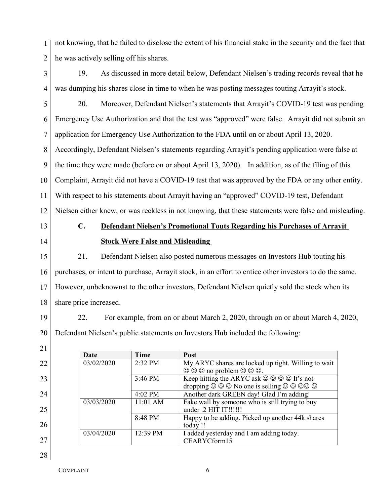1 2 not knowing, that he failed to disclose the extent of his financial stake in the security and the fact that he was actively selling off his shares.

3 4 19. As discussed in more detail below, Defendant Nielsen's trading records reveal that he was dumping his shares close in time to when he was posting messages touting Arrayit's stock.

5 6 7 8 9 10 11 12 20. Moreover, Defendant Nielsen's statements that Arrayit's COVID-19 test was pending Emergency Use Authorization and that the test was "approved" were false. Arrayit did not submit an application for Emergency Use Authorization to the FDA until on or about April 13, 2020. Accordingly, Defendant Nielsen's statements regarding Arrayit's pending application were false at the time they were made (before on or about April 13, 2020). In addition, as of the filing of this Complaint, Arrayit did not have a COVID-19 test that was approved by the FDA or any other entity. With respect to his statements about Arrayit having an "approved" COVID-19 test, Defendant Nielsen either knew, or was reckless in not knowing, that these statements were false and misleading.

- 13
- 14

21

22

23

24

25

26

27

28

## **C. Defendant Nielsen's Promotional Touts Regarding his Purchases of Arrayit Stock Were False and Misleading**

15 16 17 18 21. Defendant Nielsen also posted numerous messages on Investors Hub touting his purchases, or intent to purchase, Arrayit stock, in an effort to entice other investors to do the same. However, unbeknownst to the other investors, Defendant Nielsen quietly sold the stock when its share price increased.

19 20 22. For example, from on or about March 2, 2020, through on or about March 4, 2020, Defendant Nielsen's public statements on Investors Hub included the following:

| Date       | <b>Time</b>       | Post                                                                                                                      |
|------------|-------------------|---------------------------------------------------------------------------------------------------------------------------|
| 03/02/2020 | 2:32 PM           | My ARYC shares are locked up tight. Willing to wait                                                                       |
|            |                   | $\odot$ $\odot$ $\odot$ no problem $\odot$ $\odot$ $\odot$ .                                                              |
|            | $3:46 \text{ PM}$ | Keep hitting the ARYC ask $\circledcirc \circledcirc \circledcirc$ It's not                                               |
|            |                   | dropping $\circledcirc \circledcirc \circledcirc$ No one is selling $\circledcirc \circledcirc \circledcirc \circledcirc$ |
|            | 4:02 PM           | Another dark GREEN day! Glad I'm adding!                                                                                  |
| 03/03/2020 | $11:01$ AM        | Fake wall by someone who is still trying to buy                                                                           |
|            |                   | under .2 HIT IT!!!!!!                                                                                                     |
|            | 8:48 PM           | Happy to be adding. Picked up another 44k shares                                                                          |
|            |                   | today !!                                                                                                                  |
| 03/04/2020 | 12:39 PM          | I added yesterday and I am adding today.                                                                                  |
|            |                   | CEARYCform15                                                                                                              |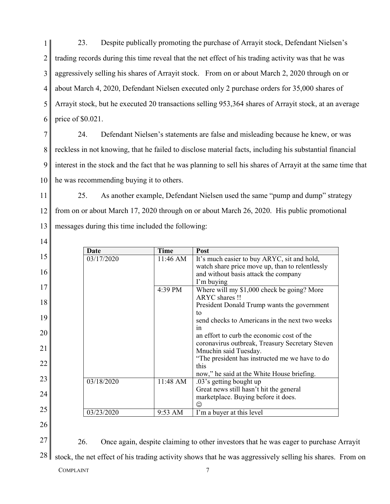1 2 3 4 5 6 23. Despite publically promoting the purchase of Arrayit stock, Defendant Nielsen's trading records during this time reveal that the net effect of his trading activity was that he was aggressively selling his shares of Arrayit stock. From on or about March 2, 2020 through on or about March 4, 2020, Defendant Nielsen executed only 2 purchase orders for 35,000 shares of Arrayit stock, but he executed 20 transactions selling 953,364 shares of Arrayit stock, at an average price of \$0.021.

7 8 9 10 24. Defendant Nielsen's statements are false and misleading because he knew, or was reckless in not knowing, that he failed to disclose material facts, including his substantial financial interest in the stock and the fact that he was planning to sell his shares of Arrayit at the same time that he was recommending buying it to others.

11 12 13 25. As another example, Defendant Nielsen used the same "pump and dump" strategy from on or about March 17, 2020 through on or about March 26, 2020. His public promotional messages during this time included the following:

|    | Date       | <b>Time</b> | <b>Post</b>                                     |
|----|------------|-------------|-------------------------------------------------|
| 15 | 03/17/2020 | 11:46 AM    | It's much easier to buy ARYC, sit and hold,     |
|    |            |             | watch share price move up, than to relentlessly |
| 16 |            |             | and without basis attack the company            |
|    |            |             | I'm buying                                      |
| 17 |            | 4:39 PM     | Where will my \$1,000 check be going? More      |
| 18 |            |             | ARYC shares !!                                  |
|    |            |             | President Donald Trump wants the government     |
| 19 |            |             | tο                                              |
|    |            |             | send checks to Americans in the next two weeks  |
| 20 |            |             | 1n                                              |
|    |            |             | an effort to curb the economic cost of the      |
| 21 |            |             | coronavirus outbreak, Treasury Secretary Steven |
|    |            |             | Mnuchin said Tuesday.                           |
| 22 |            |             | "The president has instructed me we have to do  |
|    |            |             | this                                            |
| 23 |            |             | now," he said at the White House briefing.      |
|    | 03/18/2020 | 11:48 AM    | .03's getting bought up                         |
| 24 |            |             | Great news still hasn't hit the general         |
|    |            |             | marketplace. Buying before it does.<br>☺        |
| 25 | 03/23/2020 | 9:53 AM     | I'm a buyer at this level                       |
|    |            |             |                                                 |
| 26 |            |             |                                                 |

26

27

14

26. Once again, despite claiming to other investors that he was eager to purchase Arrayit

28 stock, the net effect of his trading activity shows that he was aggressively selling his shares. From on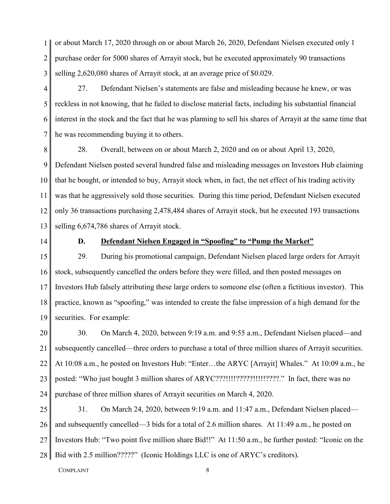1 2 3 or about March 17, 2020 through on or about March 26, 2020, Defendant Nielsen executed only 1 purchase order for 5000 shares of Arrayit stock, but he executed approximately 90 transactions selling 2,620,080 shares of Arrayit stock, at an average price of \$0.029.

4 5 6 7 27. Defendant Nielsen's statements are false and misleading because he knew, or was reckless in not knowing, that he failed to disclose material facts, including his substantial financial interest in the stock and the fact that he was planning to sell his shares of Arrayit at the same time that he was recommending buying it to others.

8 9 10 11 12 13 28. Overall, between on or about March 2, 2020 and on or about April 13, 2020, Defendant Nielsen posted several hundred false and misleading messages on Investors Hub claiming that he bought, or intended to buy, Arrayit stock when, in fact, the net effect of his trading activity was that he aggressively sold those securities. During this time period, Defendant Nielsen executed only 36 transactions purchasing 2,478,484 shares of Arrayit stock, but he executed 193 transactions selling 6,674,786 shares of Arrayit stock.

14

## **D. Defendant Nielsen Engaged in "Spoofing" to "Pump the Market"**

15 16 17 18 19 29. During his promotional campaign, Defendant Nielsen placed large orders for Arrayit stock, subsequently cancelled the orders before they were filled, and then posted messages on Investors Hub falsely attributing these large orders to someone else (often a fictitious investor). This practice, known as "spoofing," was intended to create the false impression of a high demand for the securities. For example:

20 21 22 23 24 30. On March 4, 2020, between 9:19 a.m. and 9:55 a.m., Defendant Nielsen placed—and subsequently cancelled—three orders to purchase a total of three million shares of Arrayit securities. At 10:08 a.m., he posted on Investors Hub: "Enter…the ARYC [Arrayit] Whales." At 10:09 a.m., he posted: "Who just bought 3 million shares of ARYC???!!!!?????!!!!!????." In fact, there was no purchase of three million shares of Arrayit securities on March 4, 2020.

25 26 27 28 31. On March 24, 2020, between 9:19 a.m. and 11:47 a.m., Defendant Nielsen placed and subsequently cancelled—3 bids for a total of 2.6 million shares. At 11:49 a.m., he posted on Investors Hub: "Two point five million share Bid!!" At 11:50 a.m., he further posted: "Iconic on the Bid with 2.5 million?????" (Iconic Holdings LLC is one of ARYC's creditors).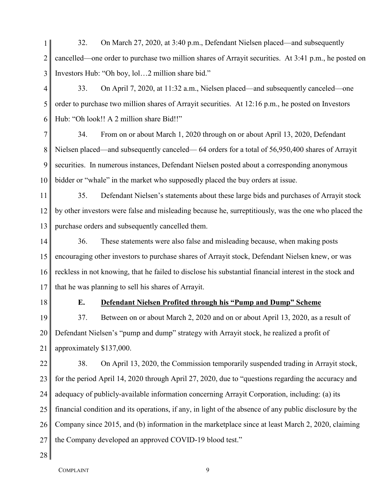1 2 3 32. On March 27, 2020, at 3:40 p.m., Defendant Nielsen placed—and subsequently cancelled—one order to purchase two million shares of Arrayit securities. At 3:41 p.m., he posted on Investors Hub: "Oh boy, lol…2 million share bid."

4 5 6 33. On April 7, 2020, at 11:32 a.m., Nielsen placed—and subsequently canceled—one order to purchase two million shares of Arrayit securities. At 12:16 p.m., he posted on Investors Hub: "Oh look!! A 2 million share Bid!!"

7 8 9 10 34. From on or about March 1, 2020 through on or about April 13, 2020, Defendant Nielsen placed—and subsequently canceled— 64 orders for a total of 56,950,400 shares of Arrayit securities. In numerous instances, Defendant Nielsen posted about a corresponding anonymous bidder or "whale" in the market who supposedly placed the buy orders at issue.

11 12 13 35. Defendant Nielsen's statements about these large bids and purchases of Arrayit stock by other investors were false and misleading because he, surreptitiously, was the one who placed the purchase orders and subsequently cancelled them.

14 15 16 17 36. These statements were also false and misleading because, when making posts encouraging other investors to purchase shares of Arrayit stock, Defendant Nielsen knew, or was reckless in not knowing, that he failed to disclose his substantial financial interest in the stock and that he was planning to sell his shares of Arrayit.

18

## **E. Defendant Nielsen Profited through his "Pump and Dump" Scheme**

19 20 21 37. Between on or about March 2, 2020 and on or about April 13, 2020, as a result of Defendant Nielsen's "pump and dump" strategy with Arrayit stock, he realized a profit of approximately \$137,000.

22 23 24 25 26 27 38. On April 13, 2020, the Commission temporarily suspended trading in Arrayit stock, for the period April 14, 2020 through April 27, 2020, due to "questions regarding the accuracy and adequacy of publicly-available information concerning Arrayit Corporation, including: (a) its financial condition and its operations, if any, in light of the absence of any public disclosure by the Company since 2015, and (b) information in the marketplace since at least March 2, 2020, claiming the Company developed an approved COVID-19 blood test."

28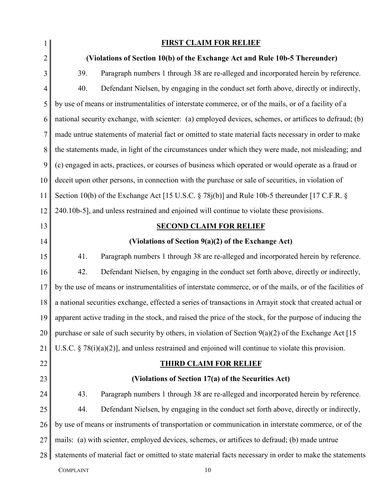| $\mathbf{1}$   |                                                                                                           | <b>FIRST CLAIM FOR RELIEF</b>                                                                             |  |  |  |
|----------------|-----------------------------------------------------------------------------------------------------------|-----------------------------------------------------------------------------------------------------------|--|--|--|
| 2              |                                                                                                           | (Violations of Section 10(b) of the Exchange Act and Rule 10b-5 Thereunder)                               |  |  |  |
| 3              | 39.                                                                                                       | Paragraph numbers 1 through 38 are re-alleged and incorporated herein by reference.                       |  |  |  |
| $\overline{4}$ | 40.                                                                                                       | Defendant Nielsen, by engaging in the conduct set forth above, directly or indirectly,                    |  |  |  |
| 5              |                                                                                                           | by use of means or instrumentalities of interstate commerce, or of the mails, or of a facility of a       |  |  |  |
| 6              |                                                                                                           | national security exchange, with scienter: (a) employed devices, schemes, or artifices to defraud; (b)    |  |  |  |
| 7              |                                                                                                           | made untrue statements of material fact or omitted to state material facts necessary in order to make     |  |  |  |
| 8              |                                                                                                           | the statements made, in light of the circumstances under which they were made, not misleading; and        |  |  |  |
| 9              |                                                                                                           | (c) engaged in acts, practices, or courses of business which operated or would operate as a fraud or      |  |  |  |
| 10             | deceit upon other persons, in connection with the purchase or sale of securities, in violation of         |                                                                                                           |  |  |  |
| 11             |                                                                                                           | Section 10(b) of the Exchange Act [15 U.S.C. § 78j(b)] and Rule 10b-5 thereunder [17 C.F.R. §             |  |  |  |
| 12             |                                                                                                           | 240.10b-5], and unless restrained and enjoined will continue to violate these provisions.                 |  |  |  |
| 13             |                                                                                                           | <b>SECOND CLAIM FOR RELIEF</b>                                                                            |  |  |  |
| 14             |                                                                                                           | (Violations of Section $9(a)(2)$ of the Exchange Act)                                                     |  |  |  |
| 15             | 41.                                                                                                       | Paragraph numbers 1 through 38 are re-alleged and incorporated herein by reference.                       |  |  |  |
| 16             | 42.                                                                                                       | Defendant Nielsen, by engaging in the conduct set forth above, directly or indirectly,                    |  |  |  |
| 17             |                                                                                                           | by the use of means or instrumentalities of interstate commerce, or of the mails, or of the facilities of |  |  |  |
| 18             | a national securities exchange, effected a series of transactions in Arrayit stock that created actual or |                                                                                                           |  |  |  |
| 19             | apparent active trading in the stock, and raised the price of the stock, for the purpose of inducing the  |                                                                                                           |  |  |  |
| 20             | purchase or sale of such security by others, in violation of Section $9(a)(2)$ of the Exchange Act [15]   |                                                                                                           |  |  |  |
| 21             | U.S.C. $\S$ 78(i)(a)(2)], and unless restrained and enjoined will continue to violate this provision.     |                                                                                                           |  |  |  |
| 22             | <b>THIRD CLAIM FOR RELIEF</b>                                                                             |                                                                                                           |  |  |  |
| 23             |                                                                                                           | (Violations of Section 17(a) of the Securities Act)                                                       |  |  |  |
| 24             | 43.                                                                                                       | Paragraph numbers 1 through 38 are re-alleged and incorporated herein by reference.                       |  |  |  |
| 25             | 44.                                                                                                       | Defendant Nielsen, by engaging in the conduct set forth above, directly or indirectly,                    |  |  |  |
| 26             |                                                                                                           | by use of means or instruments of transportation or communication in interstate commerce, or of the       |  |  |  |
| 27             |                                                                                                           | mails: (a) with scienter, employed devices, schemes, or artifices to defraud; (b) made untrue             |  |  |  |
| 28             |                                                                                                           | statements of material fact or omitted to state material facts necessary in order to make the statements  |  |  |  |
|                | <b>COMPLAINT</b>                                                                                          | 10                                                                                                        |  |  |  |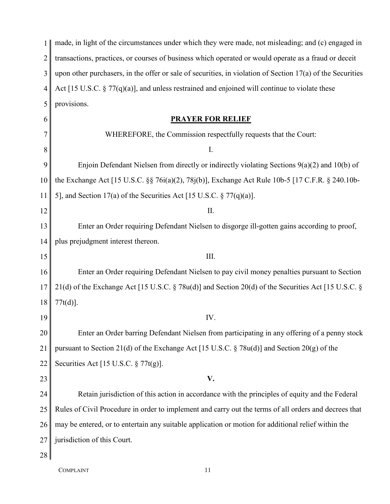| 1              | made, in light of the circumstances under which they were made, not misleading; and (c) engaged in           |
|----------------|--------------------------------------------------------------------------------------------------------------|
| $\overline{2}$ | transactions, practices, or courses of business which operated or would operate as a fraud or deceit         |
| 3              | upon other purchasers, in the offer or sale of securities, in violation of Section $17(a)$ of the Securities |
| 4              | Act [15 U.S.C. $\S 77(q)(a)$ ], and unless restrained and enjoined will continue to violate these            |
| 5              | provisions.                                                                                                  |
| 6              | <b>PRAYER FOR RELIEF</b>                                                                                     |
|                | WHEREFORE, the Commission respectfully requests that the Court:                                              |
| 8              | I.                                                                                                           |
| 9              | Enjoin Defendant Nielsen from directly or indirectly violating Sections $9(a)(2)$ and $10(b)$ of             |
| 10             | the Exchange Act [15 U.S.C. §§ 76i(a)(2), 78j(b)], Exchange Act Rule 10b-5 [17 C.F.R. § 240.10b-             |
| 11             | 5], and Section 17(a) of the Securities Act [15 U.S.C. $\S 77(q)(a)$ ].                                      |
| 12             | II.                                                                                                          |
| 13             | Enter an Order requiring Defendant Nielsen to disgorge ill-gotten gains according to proof,                  |
| 14             | plus prejudgment interest thereon.                                                                           |
| 15             | III.                                                                                                         |
| 16             | Enter an Order requiring Defendant Nielsen to pay civil money penalties pursuant to Section                  |
| 17             | 21(d) of the Exchange Act [15 U.S.C. $\S$ 78u(d)] and Section 20(d) of the Securities Act [15 U.S.C. $\S$    |
| 18             | $77t(d)$ ].                                                                                                  |
| 19             | IV.                                                                                                          |
| 20             | Enter an Order barring Defendant Nielsen from participating in any offering of a penny stock                 |
| 21             | pursuant to Section 21(d) of the Exchange Act [15 U.S.C. § 78 $u(d)$ ] and Section 20(g) of the              |
| 22             | Securities Act [15 U.S.C. § 77t(g)].                                                                         |
| 23             | V.                                                                                                           |
| 24             | Retain jurisdiction of this action in accordance with the principles of equity and the Federal               |
| 25             | Rules of Civil Procedure in order to implement and carry out the terms of all orders and decrees that        |
| 26             | may be entered, or to entertain any suitable application or motion for additional relief within the          |
| 27             | jurisdiction of this Court.                                                                                  |
| 28             |                                                                                                              |